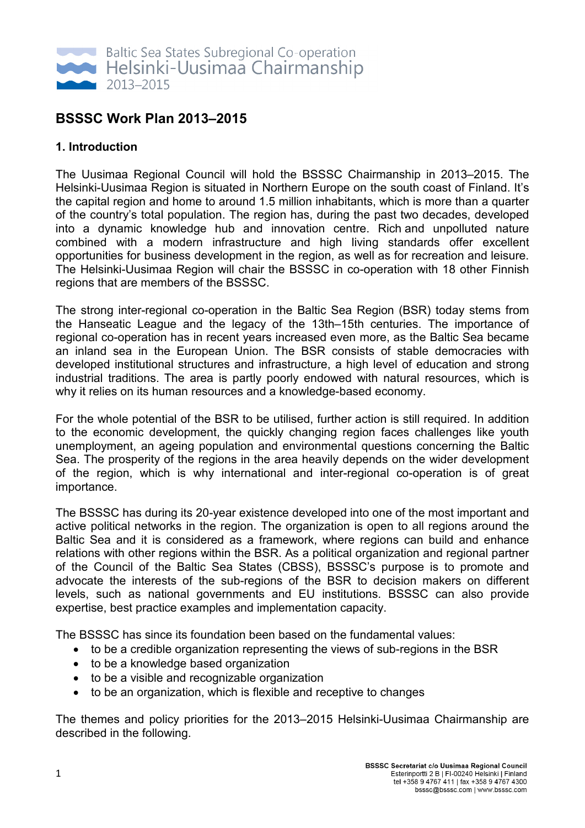

# **BSSSC Work Plan 2013–2015**

# **1. Introduction**

The Uusimaa Regional Council will hold the BSSSC Chairmanship in 2013–2015. The Helsinki-Uusimaa Region is situated in Northern Europe on the south coast of Finland. It's the capital region and home to around 1.5 million inhabitants, which is more than a quarter of the country's total population. The region has, during the past two decades, developed into a dynamic knowledge hub and innovation centre. Rich and unpolluted nature combined with a modern infrastructure and high living standards offer excellent opportunities for business development in the region, as well as for recreation and leisure. The Helsinki-Uusimaa Region will chair the BSSSC in co-operation with 18 other Finnish regions that are members of the BSSSC.

The strong inter-regional co-operation in the Baltic Sea Region (BSR) today stems from the Hanseatic League and the legacy of the 13th–15th centuries. The importance of regional co-operation has in recent years increased even more, as the Baltic Sea became an inland sea in the European Union. The BSR consists of stable democracies with developed institutional structures and infrastructure, a high level of education and strong industrial traditions. The area is partly poorly endowed with natural resources, which is why it relies on its human resources and a knowledge-based economy.

For the whole potential of the BSR to be utilised, further action is still required. In addition to the economic development, the quickly changing region faces challenges like youth unemployment, an ageing population and environmental questions concerning the Baltic Sea. The prosperity of the regions in the area heavily depends on the wider development of the region, which is why international and inter-regional co-operation is of great importance.

The BSSSC has during its 20-year existence developed into one of the most important and active political networks in the region. The organization is open to all regions around the Baltic Sea and it is considered as a framework, where regions can build and enhance relations with other regions within the BSR. As a political organization and regional partner of the Council of the Baltic Sea States (CBSS), BSSSC's purpose is to promote and advocate the interests of the sub-regions of the BSR to decision makers on different levels, such as national governments and EU institutions. BSSSC can also provide expertise, best practice examples and implementation capacity.

The BSSSC has since its foundation been based on the fundamental values:

- to be a credible organization representing the views of sub-regions in the BSR
- to be a knowledge based organization
- to be a visible and recognizable organization
- to be an organization, which is flexible and receptive to changes

The themes and policy priorities for the 2013–2015 Helsinki-Uusimaa Chairmanship are described in the following.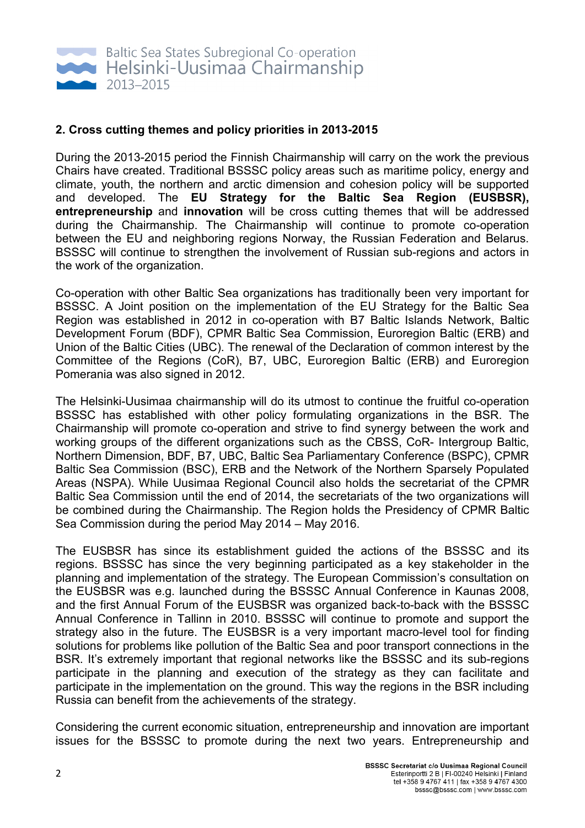

### **2. Cross cutting themes and policy priorities in 2013-2015**

During the 2013-2015 period the Finnish Chairmanship will carry on the work the previous Chairs have created. Traditional BSSSC policy areas such as maritime policy, energy and climate, youth, the northern and arctic dimension and cohesion policy will be supported and developed. The **EU Strategy for the Baltic Sea Region (EUSBSR), entrepreneurship** and **innovation** will be cross cutting themes that will be addressed during the Chairmanship. The Chairmanship will continue to promote co-operation between the EU and neighboring regions Norway, the Russian Federation and Belarus. BSSSC will continue to strengthen the involvement of Russian sub-regions and actors in the work of the organization.

Co-operation with other Baltic Sea organizations has traditionally been very important for BSSSC. A Joint position on the implementation of the EU Strategy for the Baltic Sea Region was established in 2012 in co-operation with B7 Baltic Islands Network, Baltic Development Forum (BDF), CPMR Baltic Sea Commission, Euroregion Baltic (ERB) and Union of the Baltic Cities (UBC). The renewal of the Declaration of common interest by the Committee of the Regions (CoR), B7, UBC, Euroregion Baltic (ERB) and Euroregion Pomerania was also signed in 2012.

The Helsinki-Uusimaa chairmanship will do its utmost to continue the fruitful co-operation BSSSC has established with other policy formulating organizations in the BSR. The Chairmanship will promote co-operation and strive to find synergy between the work and working groups of the different organizations such as the CBSS, CoR- Intergroup Baltic, Northern Dimension, BDF, B7, UBC, Baltic Sea Parliamentary Conference (BSPC), CPMR Baltic Sea Commission (BSC), ERB and the Network of the Northern Sparsely Populated Areas (NSPA). While Uusimaa Regional Council also holds the secretariat of the CPMR Baltic Sea Commission until the end of 2014, the secretariats of the two organizations will be combined during the Chairmanship. The Region holds the Presidency of CPMR Baltic Sea Commission during the period May 2014 – May 2016.

The EUSBSR has since its establishment guided the actions of the BSSSC and its regions. BSSSC has since the very beginning participated as a key stakeholder in the planning and implementation of the strategy. The European Commission's consultation on the EUSBSR was e.g. launched during the BSSSC Annual Conference in Kaunas 2008, and the first Annual Forum of the EUSBSR was organized back-to-back with the BSSSC Annual Conference in Tallinn in 2010. BSSSC will continue to promote and support the strategy also in the future. The EUSBSR is a very important macro-level tool for finding solutions for problems like pollution of the Baltic Sea and poor transport connections in the BSR. It's extremely important that regional networks like the BSSSC and its sub-regions participate in the planning and execution of the strategy as they can facilitate and participate in the implementation on the ground. This way the regions in the BSR including Russia can benefit from the achievements of the strategy.

Considering the current economic situation, entrepreneurship and innovation are important issues for the BSSSC to promote during the next two years. Entrepreneurship and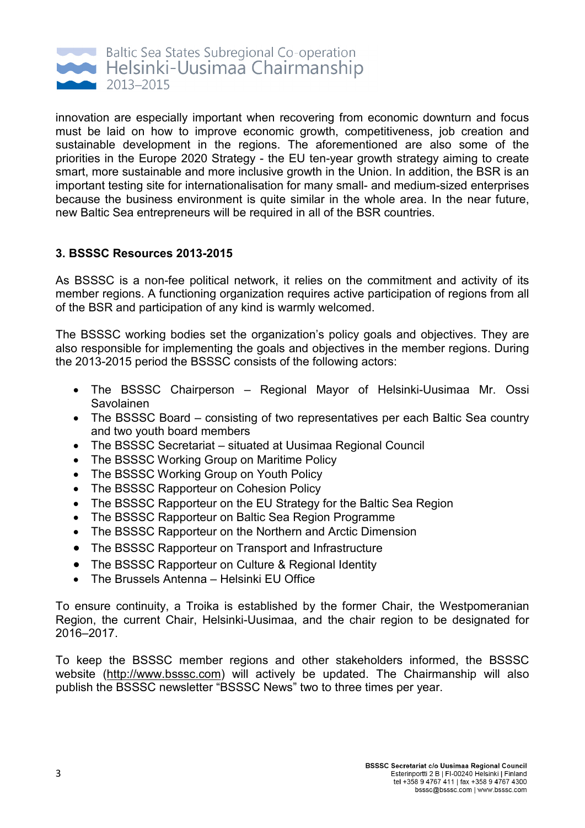

innovation are especially important when recovering from economic downturn and focus must be laid on how to improve economic growth, competitiveness, job creation and sustainable development in the regions. The aforementioned are also some of the priorities in the Europe 2020 Strategy - the EU ten-year growth strategy aiming to create smart, more sustainable and more inclusive growth in the Union. In addition, the BSR is an important testing site for internationalisation for many small- and medium-sized enterprises because the business environment is quite similar in the whole area. In the near future, new Baltic Sea entrepreneurs will be required in all of the BSR countries.

# **3. BSSSC Resources 2013-2015**

As BSSSC is a non-fee political network, it relies on the commitment and activity of its member regions. A functioning organization requires active participation of regions from all of the BSR and participation of any kind is warmly welcomed.

The BSSSC working bodies set the organization's policy goals and objectives. They are also responsible for implementing the goals and objectives in the member regions. During the 2013-2015 period the BSSSC consists of the following actors:

- The BSSSC Chairperson Regional Mayor of Helsinki-Uusimaa Mr. Ossi Savolainen
- The BSSSC Board consisting of two representatives per each Baltic Sea country and two youth board members
- The BSSSC Secretariat situated at Uusimaa Regional Council
- The BSSSC Working Group on Maritime Policy
- The BSSSC Working Group on Youth Policy
- The BSSSC Rapporteur on Cohesion Policy
- The BSSSC Rapporteur on the EU Strategy for the Baltic Sea Region
- The BSSSC Rapporteur on Baltic Sea Region Programme
- The BSSSC Rapporteur on the Northern and Arctic Dimension
- The BSSSC Rapporteur on Transport and Infrastructure
- The BSSSC Rapporteur on Culture & Regional Identity
- The Brussels Antenna Helsinki EU Office

To ensure continuity, a Troika is established by the former Chair, the Westpomeranian Region, the current Chair, Helsinki-Uusimaa, and the chair region to be designated for 2016–2017.

To keep the BSSSC member regions and other stakeholders informed, the BSSSC website (http://www.bsssc.com) will actively be updated. The Chairmanship will also publish the BSSSC newsletter "BSSSC News" two to three times per year.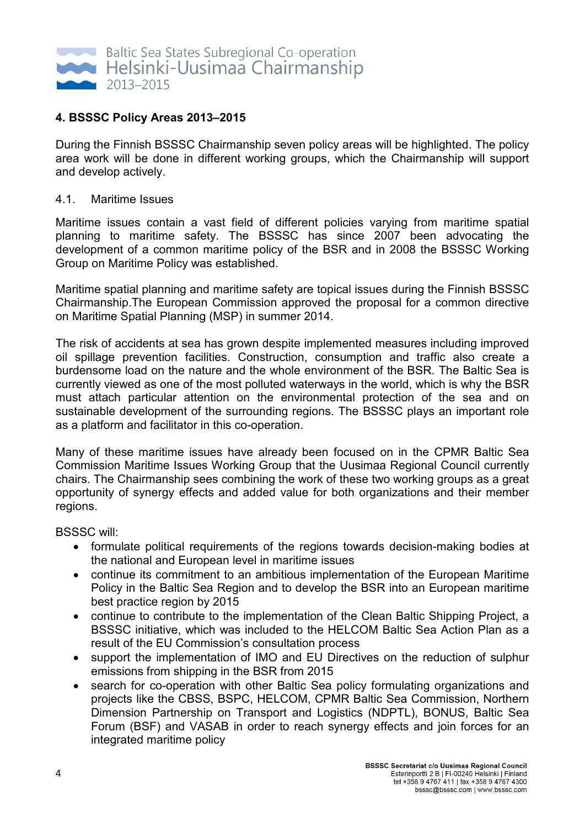

# **4. BSSSC Policy Areas 2013–2015**

During the Finnish BSSSC Chairmanship seven policy areas will be highlighted. The policy area work will be done in different working groups, which the Chairmanship will support and develop actively.

#### 4.1. Maritime Issues

Maritime issues contain a vast field of different policies varying from maritime spatial planning to maritime safety. The BSSSC has since 2007 been advocating the development of a common maritime policy of the BSR and in 2008 the BSSSC Working Group on Maritime Policy was established.

Maritime spatial planning and maritime safety are topical issues during the Finnish BSSSC Chairmanship.The European Commission approved the proposal for a common directive on Maritime Spatial Planning (MSP) in summer 2014.

The risk of accidents at sea has grown despite implemented measures including improved oil spillage prevention facilities. Construction, consumption and traffic also create a burdensome load on the nature and the whole environment of the BSR. The Baltic Sea is currently viewed as one of the most polluted waterways in the world, which is why the BSR must attach particular attention on the environmental protection of the sea and on sustainable development of the surrounding regions. The BSSSC plays an important role as a platform and facilitator in this co-operation.

Many of these maritime issues have already been focused on in the CPMR Baltic Sea Commission Maritime Issues Working Group that the Uusimaa Regional Council currently chairs. The Chairmanship sees combining the work of these two working groups as a great opportunity of synergy effects and added value for both organizations and their member regions.

BSSSC will:

- formulate political requirements of the regions towards decision-making bodies at the national and European level in maritime issues
- continue its commitment to an ambitious implementation of the European Maritime Policy in the Baltic Sea Region and to develop the BSR into an European maritime best practice region by 2015
- continue to contribute to the implementation of the Clean Baltic Shipping Project, a BSSSC initiative, which was included to the HELCOM Baltic Sea Action Plan as a result of the EU Commission's consultation process
- support the implementation of IMO and EU Directives on the reduction of sulphur emissions from shipping in the BSR from 2015
- search for co-operation with other Baltic Sea policy formulating organizations and projects like the CBSS, BSPC, HELCOM, CPMR Baltic Sea Commission, Northern Dimension Partnership on Transport and Logistics (NDPTL), BONUS, Baltic Sea Forum (BSF) and VASAB in order to reach synergy effects and join forces for an integrated maritime policy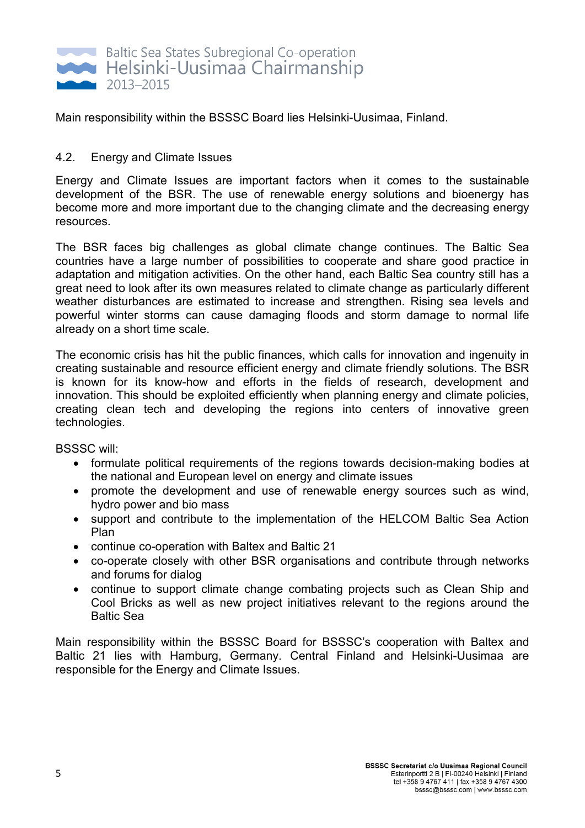

Main responsibility within the BSSSC Board lies Helsinki-Uusimaa, Finland.

# 4.2. Energy and Climate Issues

Energy and Climate Issues are important factors when it comes to the sustainable development of the BSR. The use of renewable energy solutions and bioenergy has become more and more important due to the changing climate and the decreasing energy resources.

The BSR faces big challenges as global climate change continues. The Baltic Sea countries have a large number of possibilities to cooperate and share good practice in adaptation and mitigation activities. On the other hand, each Baltic Sea country still has a great need to look after its own measures related to climate change as particularly different weather disturbances are estimated to increase and strengthen. Rising sea levels and powerful winter storms can cause damaging floods and storm damage to normal life already on a short time scale.

The economic crisis has hit the public finances, which calls for innovation and ingenuity in creating sustainable and resource efficient energy and climate friendly solutions. The BSR is known for its know-how and efforts in the fields of research, development and innovation. This should be exploited efficiently when planning energy and climate policies, creating clean tech and developing the regions into centers of innovative green technologies.

BSSSC will:

- formulate political requirements of the regions towards decision-making bodies at the national and European level on energy and climate issues
- promote the development and use of renewable energy sources such as wind, hydro power and bio mass
- support and contribute to the implementation of the HELCOM Baltic Sea Action Plan
- continue co-operation with Baltex and Baltic 21
- co-operate closely with other BSR organisations and contribute through networks and forums for dialog
- continue to support climate change combating projects such as Clean Ship and Cool Bricks as well as new project initiatives relevant to the regions around the Baltic Sea

Main responsibility within the BSSSC Board for BSSSC's cooperation with Baltex and Baltic 21 lies with Hamburg, Germany. Central Finland and Helsinki-Uusimaa are responsible for the Energy and Climate Issues.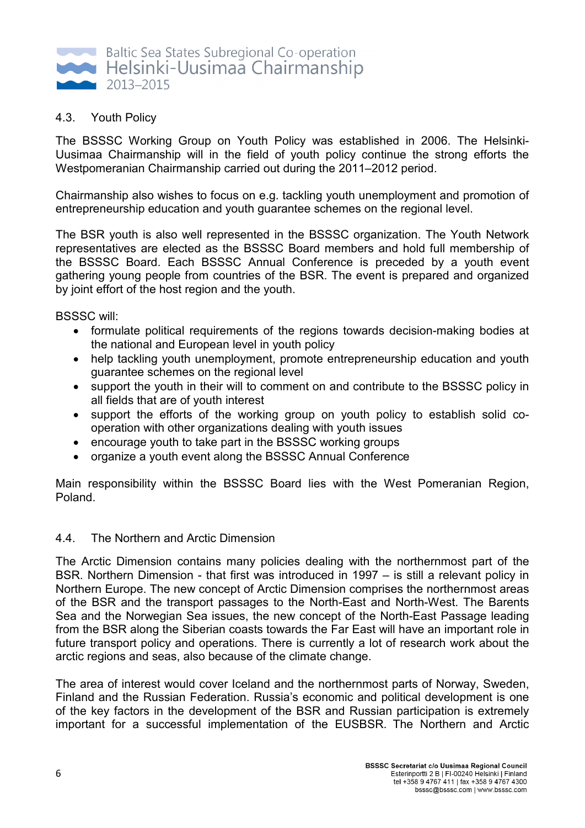

# 4.3. Youth Policy

The BSSSC Working Group on Youth Policy was established in 2006. The Helsinki-Uusimaa Chairmanship will in the field of youth policy continue the strong efforts the Westpomeranian Chairmanship carried out during the 2011–2012 period.

Chairmanship also wishes to focus on e.g. tackling youth unemployment and promotion of entrepreneurship education and youth guarantee schemes on the regional level.

The BSR youth is also well represented in the BSSSC organization. The Youth Network representatives are elected as the BSSSC Board members and hold full membership of the BSSSC Board. Each BSSSC Annual Conference is preceded by a youth event gathering young people from countries of the BSR. The event is prepared and organized by joint effort of the host region and the youth.

BSSSC will:

- formulate political requirements of the regions towards decision-making bodies at the national and European level in youth policy
- help tackling youth unemployment, promote entrepreneurship education and youth guarantee schemes on the regional level
- support the youth in their will to comment on and contribute to the BSSSC policy in all fields that are of youth interest
- support the efforts of the working group on youth policy to establish solid cooperation with other organizations dealing with youth issues
- encourage youth to take part in the BSSSC working groups
- organize a youth event along the BSSSC Annual Conference

Main responsibility within the BSSSC Board lies with the West Pomeranian Region, Poland.

### 4.4. The Northern and Arctic Dimension

The Arctic Dimension contains many policies dealing with the northernmost part of the BSR. Northern Dimension - that first was introduced in 1997 – is still a relevant policy in Northern Europe. The new concept of Arctic Dimension comprises the northernmost areas of the BSR and the transport passages to the North-East and North-West. The Barents Sea and the Norwegian Sea issues, the new concept of the North-East Passage leading from the BSR along the Siberian coasts towards the Far East will have an important role in future transport policy and operations. There is currently a lot of research work about the arctic regions and seas, also because of the climate change.

The area of interest would cover Iceland and the northernmost parts of Norway, Sweden, Finland and the Russian Federation. Russia's economic and political development is one of the key factors in the development of the BSR and Russian participation is extremely important for a successful implementation of the EUSBSR. The Northern and Arctic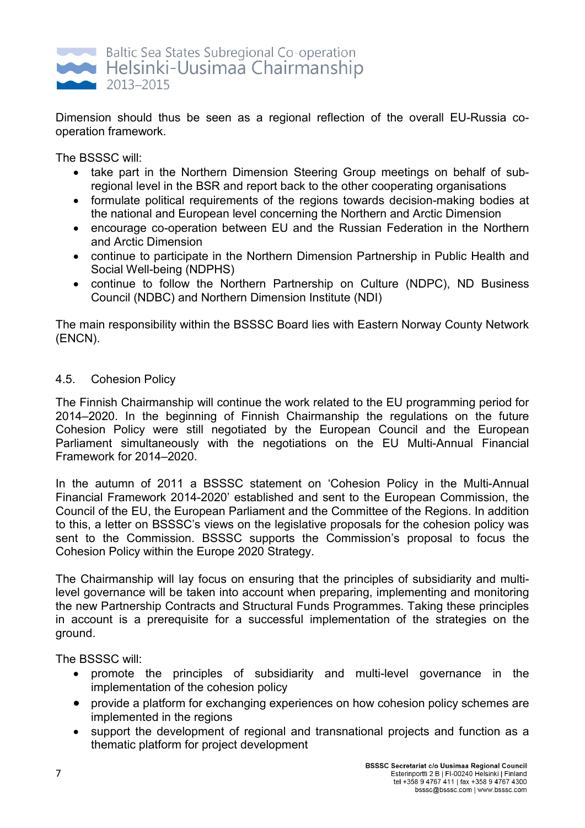

Dimension should thus be seen as a regional reflection of the overall EU-Russia cooperation framework.

The BSSSC will:

- take part in the Northern Dimension Steering Group meetings on behalf of subregional level in the BSR and report back to the other cooperating organisations
- formulate political requirements of the regions towards decision-making bodies at the national and European level concerning the Northern and Arctic Dimension
- encourage co-operation between EU and the Russian Federation in the Northern and Arctic Dimension
- continue to participate in the Northern Dimension Partnership in Public Health and Social Well-being (NDPHS)
- continue to follow the Northern Partnership on Culture (NDPC), ND Business Council (NDBC) and Northern Dimension Institute (NDI)

The main responsibility within the BSSSC Board lies with Eastern Norway County Network (ENCN).

# 4.5. Cohesion Policy

The Finnish Chairmanship will continue the work related to the EU programming period for 2014–2020. In the beginning of Finnish Chairmanship the regulations on the future Cohesion Policy were still negotiated by the European Council and the European Parliament simultaneously with the negotiations on the EU Multi-Annual Financial Framework for 2014–2020.

In the autumn of 2011 a BSSSC statement on 'Cohesion Policy in the Multi-Annual Financial Framework 2014-2020' established and sent to the European Commission, the Council of the EU, the European Parliament and the Committee of the Regions. In addition to this, a letter on BSSSC's views on the legislative proposals for the cohesion policy was sent to the Commission. BSSSC supports the Commission's proposal to focus the Cohesion Policy within the Europe 2020 Strategy.

The Chairmanship will lay focus on ensuring that the principles of subsidiarity and multilevel governance will be taken into account when preparing, implementing and monitoring the new Partnership Contracts and Structural Funds Programmes. Taking these principles in account is a prerequisite for a successful implementation of the strategies on the ground.

The BSSSC will:

- promote the principles of subsidiarity and multi-level governance in the implementation of the cohesion policy
- provide a platform for exchanging experiences on how cohesion policy schemes are implemented in the regions
- support the development of regional and transnational projects and function as a thematic platform for project development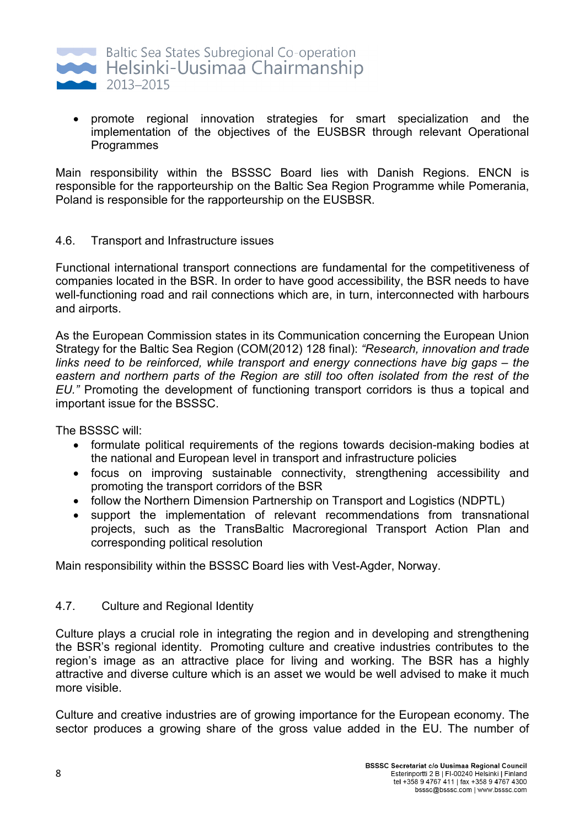

• promote regional innovation strategies for smart specialization and the implementation of the objectives of the EUSBSR through relevant Operational Programmes

Main responsibility within the BSSSC Board lies with Danish Regions. ENCN is responsible for the rapporteurship on the Baltic Sea Region Programme while Pomerania, Poland is responsible for the rapporteurship on the EUSBSR.

### 4.6. Transport and Infrastructure issues

Functional international transport connections are fundamental for the competitiveness of companies located in the BSR. In order to have good accessibility, the BSR needs to have well-functioning road and rail connections which are, in turn, interconnected with harbours and airports.

As the European Commission states in its Communication concerning the European Union Strategy for the Baltic Sea Region (COM(2012) 128 final): *"Research, innovation and trade links need to be reinforced, while transport and energy connections have big gaps – the*  eastern and northern parts of the Region are still too often isolated from the rest of the *EU."* Promoting the development of functioning transport corridors is thus a topical and important issue for the BSSSC.

The BSSSC will:

- formulate political requirements of the regions towards decision-making bodies at the national and European level in transport and infrastructure policies
- focus on improving sustainable connectivity, strengthening accessibility and promoting the transport corridors of the BSR
- follow the Northern Dimension Partnership on Transport and Logistics (NDPTL)
- support the implementation of relevant recommendations from transnational projects, such as the TransBaltic Macroregional Transport Action Plan and corresponding political resolution

Main responsibility within the BSSSC Board lies with Vest-Agder, Norway.

# 4.7. Culture and Regional Identity

Culture plays a crucial role in integrating the region and in developing and strengthening the BSR's regional identity. Promoting culture and creative industries contributes to the region's image as an attractive place for living and working. The BSR has a highly attractive and diverse culture which is an asset we would be well advised to make it much more visible.

Culture and creative industries are of growing importance for the European economy. The sector produces a growing share of the gross value added in the EU. The number of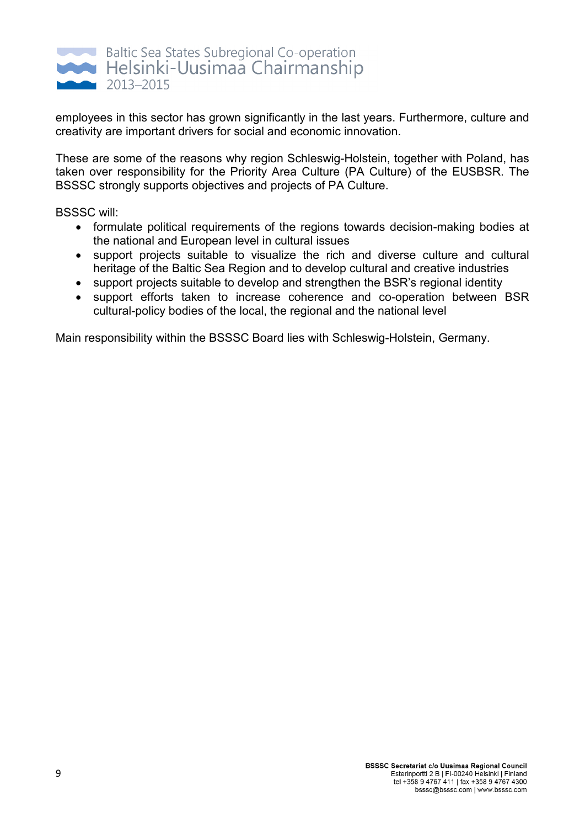

employees in this sector has grown significantly in the last years. Furthermore, culture and creativity are important drivers for social and economic innovation.

These are some of the reasons why region Schleswig-Holstein, together with Poland, has taken over responsibility for the Priority Area Culture (PA Culture) of the EUSBSR. The BSSSC strongly supports objectives and projects of PA Culture.

BSSSC will:

- formulate political requirements of the regions towards decision-making bodies at the national and European level in cultural issues
- support projects suitable to visualize the rich and diverse culture and cultural heritage of the Baltic Sea Region and to develop cultural and creative industries
- support projects suitable to develop and strengthen the BSR's regional identity
- support efforts taken to increase coherence and co-operation between BSR cultural-policy bodies of the local, the regional and the national level

Main responsibility within the BSSSC Board lies with Schleswig-Holstein, Germany.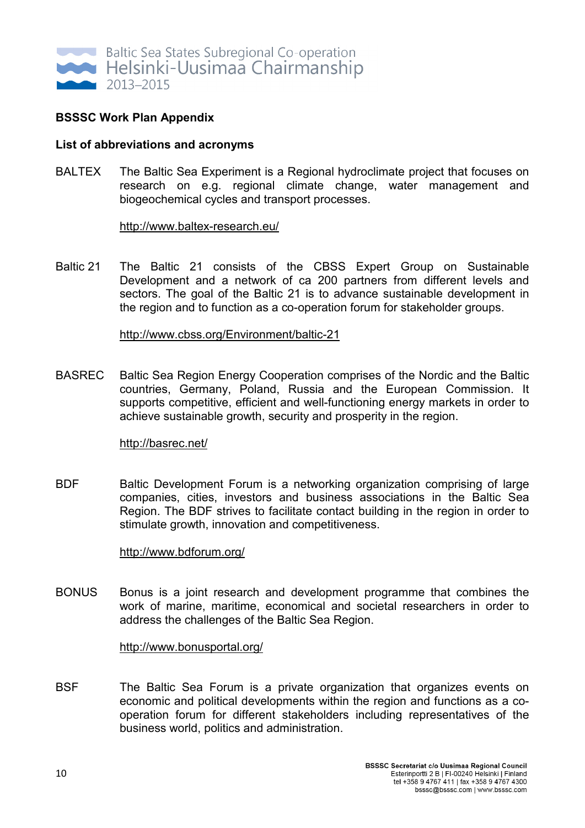

### **BSSSC Work Plan Appendix**

#### **List of abbreviations and acronyms**

BALTEX The Baltic Sea Experiment is a Regional hydroclimate project that focuses on research on e.g. regional climate change, water management and biogeochemical cycles and transport processes.

http://www.baltex-research.eu/

Baltic 21 The Baltic 21 consists of the CBSS Expert Group on Sustainable Development and a network of ca 200 partners from different levels and sectors. The goal of the Baltic 21 is to advance sustainable development in the region and to function as a co-operation forum for stakeholder groups.

#### http://www.cbss.org/Environment/baltic-21

BASREC Baltic Sea Region Energy Cooperation comprises of the Nordic and the Baltic countries, Germany, Poland, Russia and the European Commission. It supports competitive, efficient and well-functioning energy markets in order to achieve sustainable growth, security and prosperity in the region.

#### http://basrec.net/

BDF Baltic Development Forum is a networking organization comprising of large companies, cities, investors and business associations in the Baltic Sea Region. The BDF strives to facilitate contact building in the region in order to stimulate growth, innovation and competitiveness.

#### http://www.bdforum.org/

BONUS Bonus is a joint research and development programme that combines the work of marine, maritime, economical and societal researchers in order to address the challenges of the Baltic Sea Region.

#### http://www.bonusportal.org/

BSF The Baltic Sea Forum is a private organization that organizes events on economic and political developments within the region and functions as a cooperation forum for different stakeholders including representatives of the business world, politics and administration.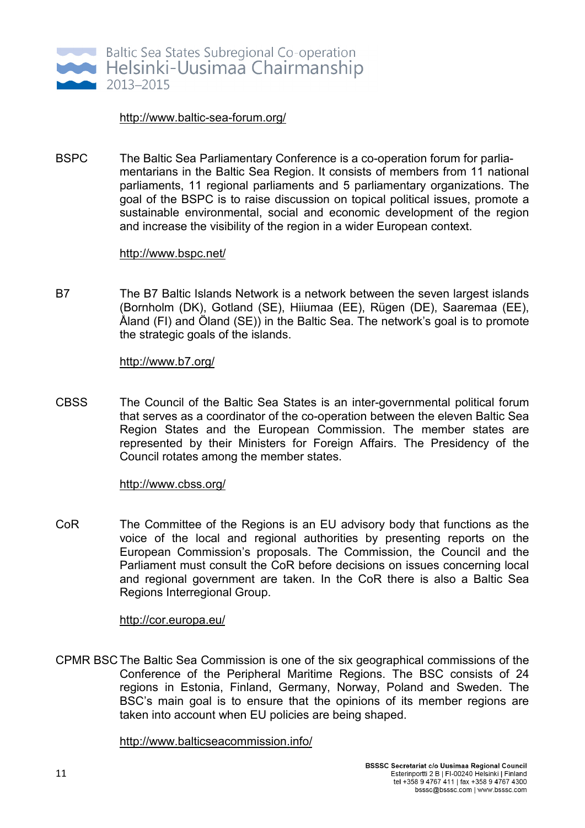

#### http://www.baltic-sea-forum.org/

BSPC The Baltic Sea Parliamentary Conference is a co-operation forum for parliamentarians in the Baltic Sea Region. It consists of members from 11 national parliaments, 11 regional parliaments and 5 parliamentary organizations. The goal of the BSPC is to raise discussion on topical political issues, promote a sustainable environmental, social and economic development of the region and increase the visibility of the region in a wider European context.

#### http://www.bspc.net/

B7 The B7 Baltic Islands Network is a network between the seven largest islands (Bornholm (DK), Gotland (SE), Hiiumaa (EE), Rügen (DE), Saaremaa (EE), Åland (FI) and Öland (SE)) in the Baltic Sea. The network's goal is to promote the strategic goals of the islands.

#### http://www.b7.org/

CBSS The Council of the Baltic Sea States is an inter-governmental political forum that serves as a coordinator of the co-operation between the eleven Baltic Sea Region States and the European Commission. The member states are represented by their Ministers for Foreign Affairs. The Presidency of the Council rotates among the member states.

#### http://www.cbss.org/

CoR The Committee of the Regions is an EU advisory body that functions as the voice of the local and regional authorities by presenting reports on the European Commission's proposals. The Commission, the Council and the Parliament must consult the CoR before decisions on issues concerning local and regional government are taken. In the CoR there is also a Baltic Sea Regions Interregional Group.

#### http://cor.europa.eu/

CPMR BSC The Baltic Sea Commission is one of the six geographical commissions of the Conference of the Peripheral Maritime Regions. The BSC consists of 24 regions in Estonia, Finland, Germany, Norway, Poland and Sweden. The BSC's main goal is to ensure that the opinions of its member regions are taken into account when EU policies are being shaped.

#### http://www.balticseacommission.info/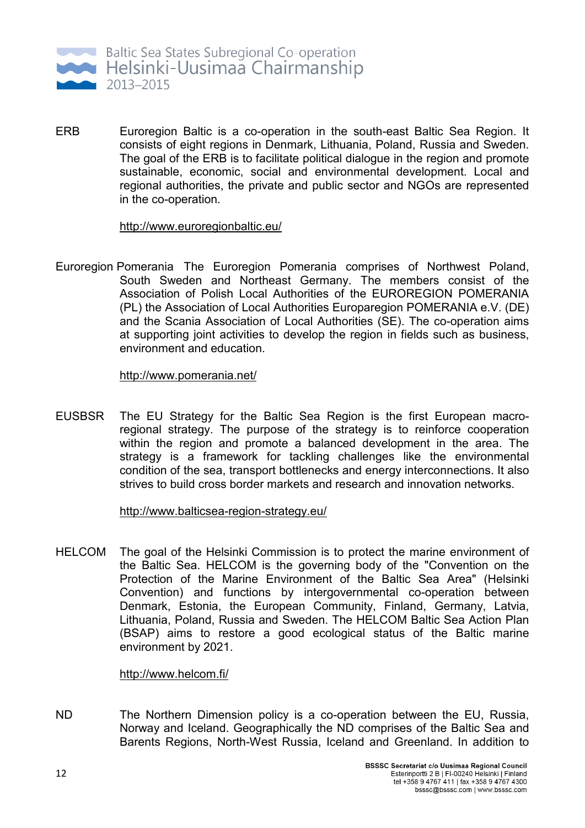

ERB Euroregion Baltic is a co-operation in the south-east Baltic Sea Region. It consists of eight regions in Denmark, Lithuania, Poland, Russia and Sweden. The goal of the ERB is to facilitate political dialogue in the region and promote sustainable, economic, social and environmental development. Local and regional authorities, the private and public sector and NGOs are represented in the co-operation.

http://www.euroregionbaltic.eu/

Euroregion Pomerania The Euroregion Pomerania comprises of Northwest Poland, South Sweden and Northeast Germany. The members consist of the Association of Polish Local Authorities of the EUROREGION POMERANIA (PL) the Association of Local Authorities Europaregion POMERANIA e.V. (DE) and the Scania Association of Local Authorities (SE). The co-operation aims at supporting joint activities to develop the region in fields such as business, environment and education.

http://www.pomerania.net/

EUSBSR The EU Strategy for the Baltic Sea Region is the first European macroregional strategy. The purpose of the strategy is to reinforce cooperation within the region and promote a balanced development in the area. The strategy is a framework for tackling challenges like the environmental condition of the sea, transport bottlenecks and energy interconnections. It also strives to build cross border markets and research and innovation networks.

http://www.balticsea-region-strategy.eu/

HELCOM The goal of the Helsinki Commission is to protect the marine environment of the Baltic Sea. HELCOM is the governing body of the "Convention on the Protection of the Marine Environment of the Baltic Sea Area" (Helsinki Convention) and functions by intergovernmental co-operation between Denmark, Estonia, the European Community, Finland, Germany, Latvia, Lithuania, Poland, Russia and Sweden. The HELCOM Baltic Sea Action Plan (BSAP) aims to restore a good ecological status of the Baltic marine environment by 2021.

#### http://www.helcom.fi/

ND The Northern Dimension policy is a co-operation between the EU, Russia, Norway and Iceland. Geographically the ND comprises of the Baltic Sea and Barents Regions, North-West Russia, Iceland and Greenland. In addition to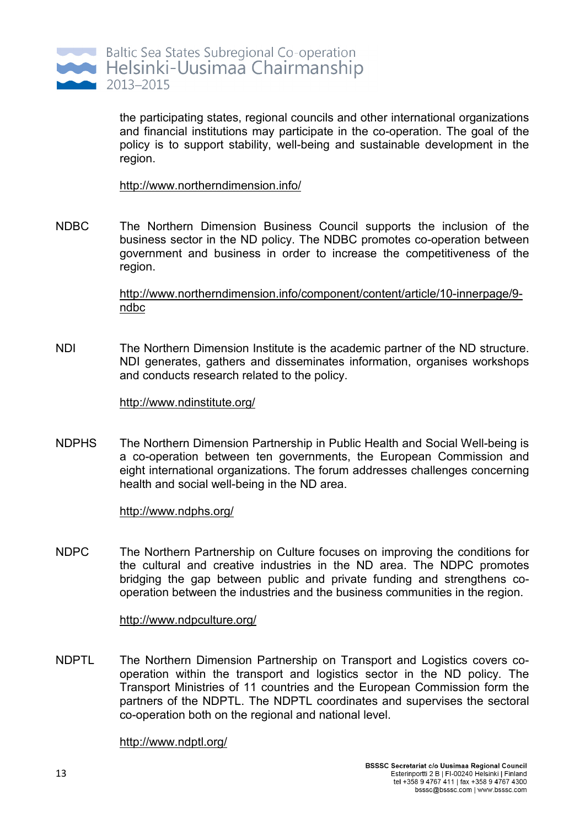

the participating states, regional councils and other international organizations and financial institutions may participate in the co-operation. The goal of the policy is to support stability, well-being and sustainable development in the region.

http://www.northerndimension.info/

NDBC The Northern Dimension Business Council supports the inclusion of the business sector in the ND policy. The NDBC promotes co-operation between government and business in order to increase the competitiveness of the region.

> http://www.northerndimension.info/component/content/article/10-innerpage/9 ndbc

NDI The Northern Dimension Institute is the academic partner of the ND structure. NDI generates, gathers and disseminates information, organises workshops and conducts research related to the policy.

#### http://www.ndinstitute.org/

NDPHS The Northern Dimension Partnership in Public Health and Social Well-being is a co-operation between ten governments, the European Commission and eight international organizations. The forum addresses challenges concerning health and social well-being in the ND area.

#### http://www.ndphs.org/

NDPC The Northern Partnership on Culture focuses on improving the conditions for the cultural and creative industries in the ND area. The NDPC promotes bridging the gap between public and private funding and strengthens cooperation between the industries and the business communities in the region.

#### http://www.ndpculture.org/

NDPTL The Northern Dimension Partnership on Transport and Logistics covers cooperation within the transport and logistics sector in the ND policy. The Transport Ministries of 11 countries and the European Commission form the partners of the NDPTL. The NDPTL coordinates and supervises the sectoral co-operation both on the regional and national level.

#### http://www.ndptl.org/